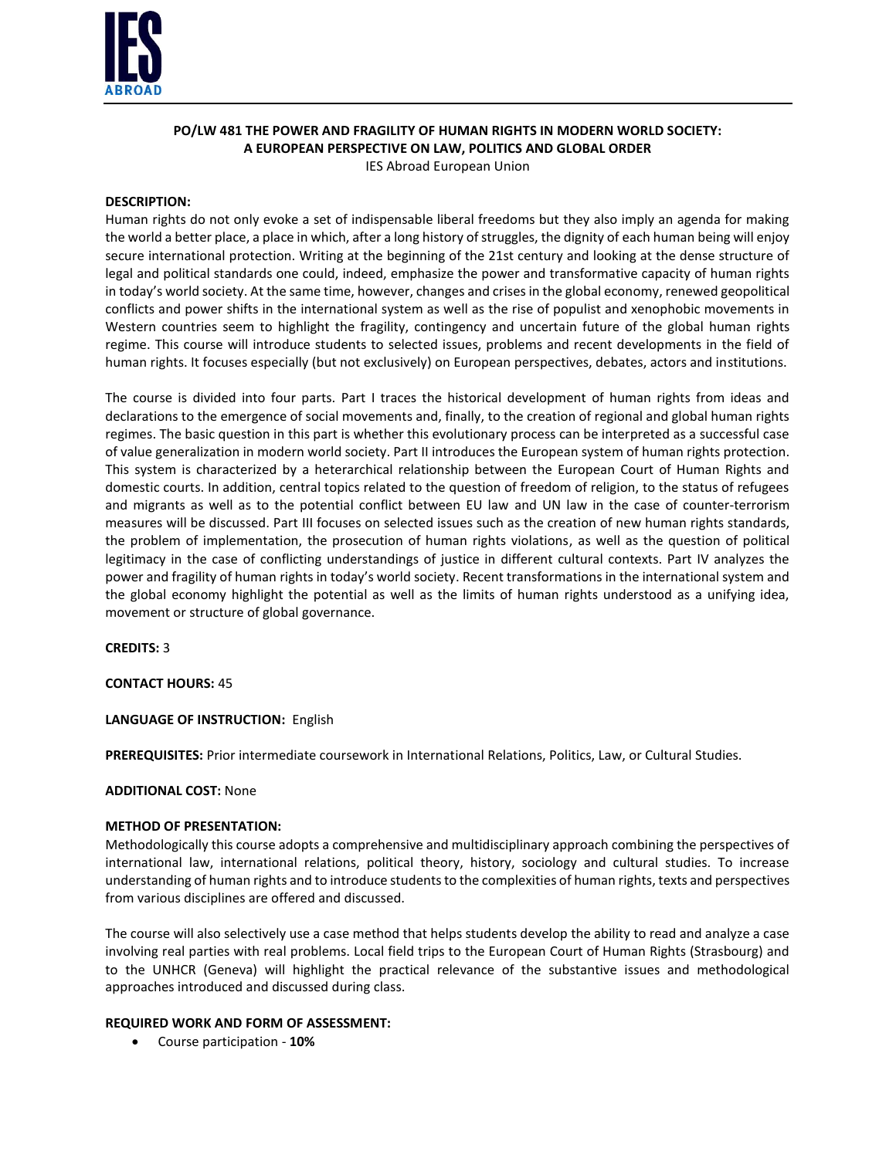

# **PO/LW 481 THE POWER AND FRAGILITY OF HUMAN RIGHTS IN MODERN WORLD SOCIETY: A EUROPEAN PERSPECTIVE ON LAW, POLITICS AND GLOBAL ORDER**

IES Abroad European Union

# **DESCRIPTION:**

Human rights do not only evoke a set of indispensable liberal freedoms but they also imply an agenda for making the world a better place, a place in which, after a long history of struggles, the dignity of each human being will enjoy secure international protection. Writing at the beginning of the 21st century and looking at the dense structure of legal and political standards one could, indeed, emphasize the power and transformative capacity of human rights in today's world society. At the same time, however, changes and crises in the global economy, renewed geopolitical conflicts and power shifts in the international system as well as the rise of populist and xenophobic movements in Western countries seem to highlight the fragility, contingency and uncertain future of the global human rights regime. This course will introduce students to selected issues, problems and recent developments in the field of human rights. It focuses especially (but not exclusively) on European perspectives, debates, actors and institutions.

The course is divided into four parts. Part I traces the historical development of human rights from ideas and declarations to the emergence of social movements and, finally, to the creation of regional and global human rights regimes. The basic question in this part is whether this evolutionary process can be interpreted as a successful case of value generalization in modern world society. Part II introduces the European system of human rights protection. This system is characterized by a heterarchical relationship between the European Court of Human Rights and domestic courts. In addition, central topics related to the question of freedom of religion, to the status of refugees and migrants as well as to the potential conflict between EU law and UN law in the case of counter-terrorism measures will be discussed. Part III focuses on selected issues such as the creation of new human rights standards, the problem of implementation, the prosecution of human rights violations, as well as the question of political legitimacy in the case of conflicting understandings of justice in different cultural contexts. Part IV analyzes the power and fragility of human rights in today's world society. Recent transformations in the international system and the global economy highlight the potential as well as the limits of human rights understood as a unifying idea, movement or structure of global governance.

**CREDITS:** 3

#### **CONTACT HOURS:** 45

#### **LANGUAGE OF INSTRUCTION:** English

**PREREQUISITES:** Prior intermediate coursework in International Relations, Politics, Law, or Cultural Studies.

#### **ADDITIONAL COST:** None

#### **METHOD OF PRESENTATION:**

Methodologically this course adopts a comprehensive and multidisciplinary approach combining the perspectives of international law, international relations, political theory, history, sociology and cultural studies. To increase understanding of human rights and to introduce students to the complexities of human rights, texts and perspectives from various disciplines are offered and discussed.

The course will also selectively use a case method that helps students develop the ability to read and analyze a case involving real parties with real problems. Local field trips to the European Court of Human Rights (Strasbourg) and to the UNHCR (Geneva) will highlight the practical relevance of the substantive issues and methodological approaches introduced and discussed during class.

#### **REQUIRED WORK AND FORM OF ASSESSMENT:**

Course participation - **10%**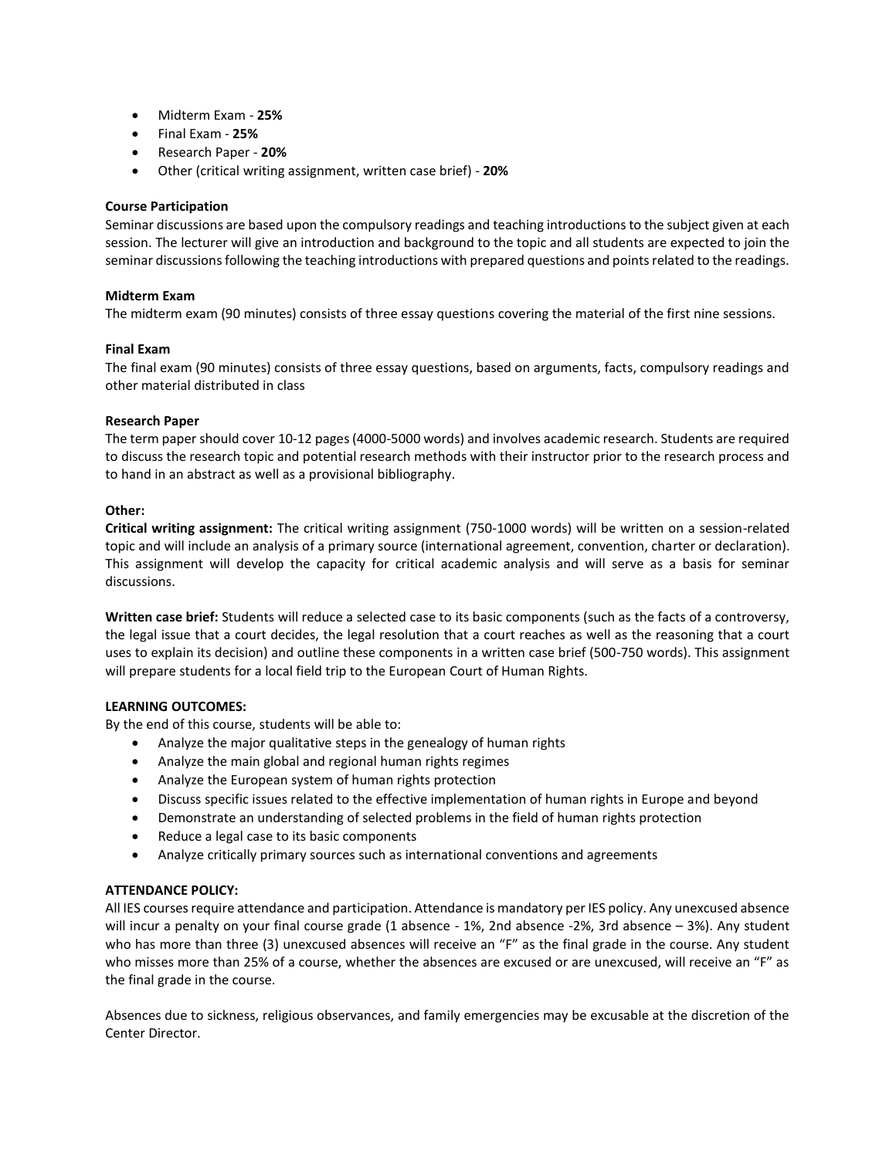- Midterm Exam **25%**
- Final Exam **25%**
- Research Paper **20%**
- Other (critical writing assignment, written case brief) **20%**

## **Course Participation**

Seminar discussions are based upon the compulsory readings and teaching introductions to the subject given at each session. The lecturer will give an introduction and background to the topic and all students are expected to join the seminar discussions following the teaching introductions with prepared questions and points related to the readings.

## **Midterm Exam**

The midterm exam (90 minutes) consists of three essay questions covering the material of the first nine sessions.

## **Final Exam**

The final exam (90 minutes) consists of three essay questions, based on arguments, facts, compulsory readings and other material distributed in class

## **Research Paper**

The term paper should cover 10-12 pages (4000-5000 words) and involves academic research. Students are required to discuss the research topic and potential research methods with their instructor prior to the research process and to hand in an abstract as well as a provisional bibliography.

## **Other:**

**Critical writing assignment:** The critical writing assignment (750-1000 words) will be written on a session-related topic and will include an analysis of a primary source (international agreement, convention, charter or declaration). This assignment will develop the capacity for critical academic analysis and will serve as a basis for seminar discussions.

**Written case brief:** Students will reduce a selected case to its basic components (such as the facts of a controversy, the legal issue that a court decides, the legal resolution that a court reaches as well as the reasoning that a court uses to explain its decision) and outline these components in a written case brief (500-750 words). This assignment will prepare students for a local field trip to the European Court of Human Rights.

## **LEARNING OUTCOMES:**

By the end of this course, students will be able to:

- Analyze the major qualitative steps in the genealogy of human rights
- Analyze the main global and regional human rights regimes
- Analyze the European system of human rights protection
- Discuss specific issues related to the effective implementation of human rights in Europe and beyond
- Demonstrate an understanding of selected problems in the field of human rights protection
- Reduce a legal case to its basic components
- Analyze critically primary sources such as international conventions and agreements

## **ATTENDANCE POLICY:**

All IES courses require attendance and participation. Attendance is mandatory per IES policy. Any unexcused absence will incur a penalty on your final course grade (1 absence - 1%, 2nd absence -2%, 3rd absence - 3%). Any student who has more than three (3) unexcused absences will receive an "F" as the final grade in the course. Any student who misses more than 25% of a course, whether the absences are excused or are unexcused, will receive an "F" as the final grade in the course.

Absences due to sickness, religious observances, and family emergencies may be excusable at the discretion of the Center Director.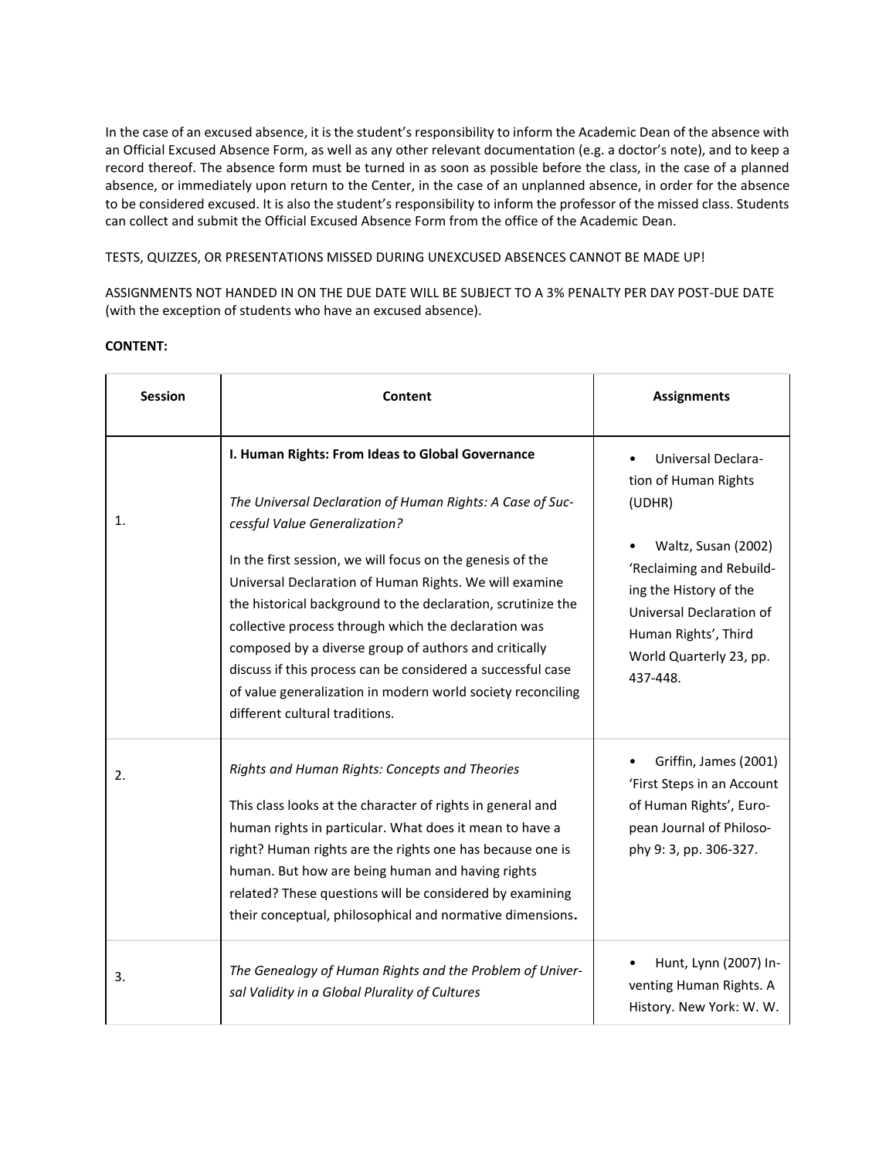In the case of an excused absence, it is the student's responsibility to inform the Academic Dean of the absence with an Official Excused Absence Form, as well as any other relevant documentation (e.g. a doctor's note), and to keep a record thereof. The absence form must be turned in as soon as possible before the class, in the case of a planned absence, or immediately upon return to the Center, in the case of an unplanned absence, in order for the absence to be considered excused. It is also the student's responsibility to inform the professor of the missed class. Students can collect and submit the Official Excused Absence Form from the office of the Academic Dean.

# TESTS, QUIZZES, OR PRESENTATIONS MISSED DURING UNEXCUSED ABSENCES CANNOT BE MADE UP!

ASSIGNMENTS NOT HANDED IN ON THE DUE DATE WILL BE SUBJECT TO A 3% PENALTY PER DAY POST-DUE DATE (with the exception of students who have an excused absence).

| <b>Session</b> | Content                                                                                                                                                                                                                                                                                                                                                                                                                                                                                                                                                                                                                | <b>Assignments</b>                                                                                                                                                                                                                  |
|----------------|------------------------------------------------------------------------------------------------------------------------------------------------------------------------------------------------------------------------------------------------------------------------------------------------------------------------------------------------------------------------------------------------------------------------------------------------------------------------------------------------------------------------------------------------------------------------------------------------------------------------|-------------------------------------------------------------------------------------------------------------------------------------------------------------------------------------------------------------------------------------|
| 1.             | I. Human Rights: From Ideas to Global Governance<br>The Universal Declaration of Human Rights: A Case of Suc-<br>cessful Value Generalization?<br>In the first session, we will focus on the genesis of the<br>Universal Declaration of Human Rights. We will examine<br>the historical background to the declaration, scrutinize the<br>collective process through which the declaration was<br>composed by a diverse group of authors and critically<br>discuss if this process can be considered a successful case<br>of value generalization in modern world society reconciling<br>different cultural traditions. | <b>Universal Declara-</b><br>tion of Human Rights<br>(UDHR)<br>Waltz, Susan (2002)<br>'Reclaiming and Rebuild-<br>ing the History of the<br>Universal Declaration of<br>Human Rights', Third<br>World Quarterly 23, pp.<br>437-448. |
| 2.             | Rights and Human Rights: Concepts and Theories<br>This class looks at the character of rights in general and<br>human rights in particular. What does it mean to have a<br>right? Human rights are the rights one has because one is<br>human. But how are being human and having rights<br>related? These questions will be considered by examining<br>their conceptual, philosophical and normative dimensions.                                                                                                                                                                                                      | Griffin, James (2001)<br>'First Steps in an Account<br>of Human Rights', Euro-<br>pean Journal of Philoso-<br>phy 9: 3, pp. 306-327.                                                                                                |
| 3.             | The Genealogy of Human Rights and the Problem of Univer-<br>sal Validity in a Global Plurality of Cultures                                                                                                                                                                                                                                                                                                                                                                                                                                                                                                             | Hunt, Lynn (2007) In-<br>venting Human Rights. A<br>History. New York: W. W.                                                                                                                                                        |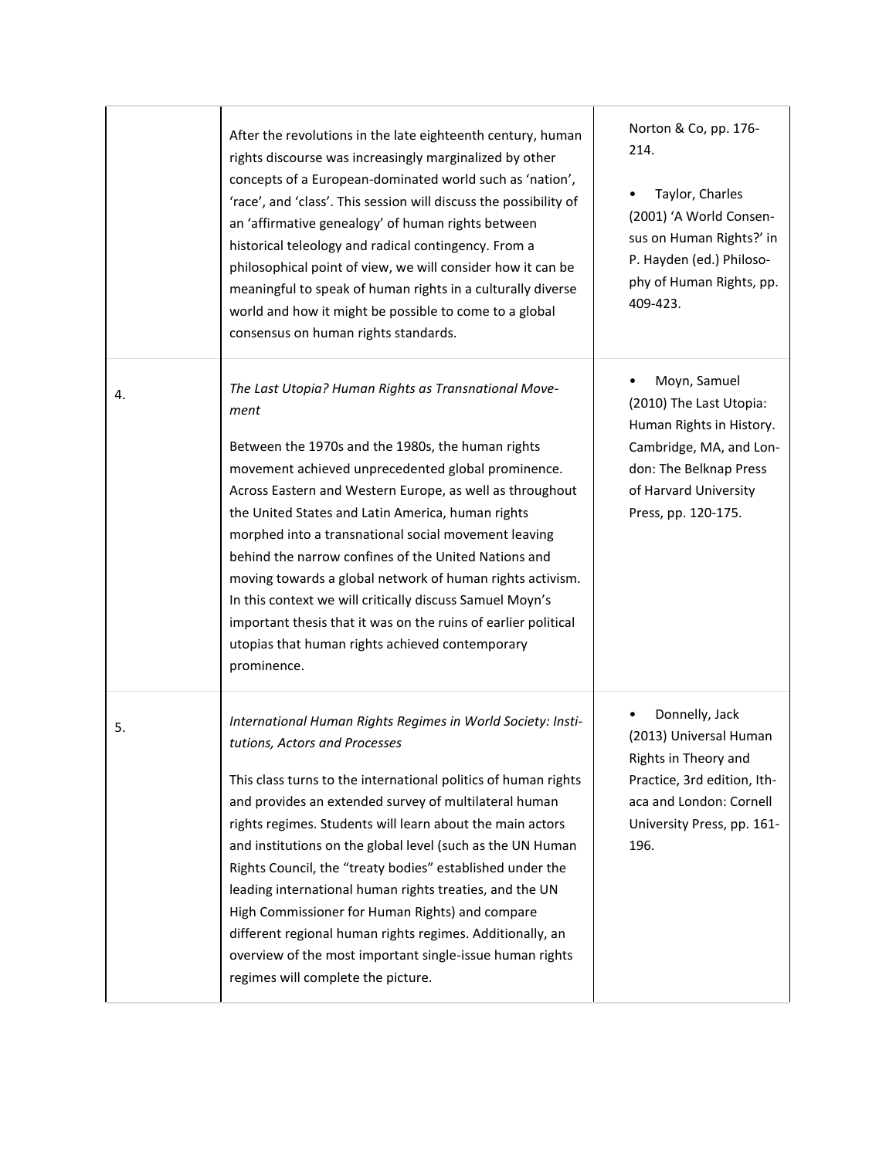|    | After the revolutions in the late eighteenth century, human<br>rights discourse was increasingly marginalized by other<br>concepts of a European-dominated world such as 'nation',<br>'race', and 'class'. This session will discuss the possibility of<br>an 'affirmative genealogy' of human rights between<br>historical teleology and radical contingency. From a<br>philosophical point of view, we will consider how it can be<br>meaningful to speak of human rights in a culturally diverse<br>world and how it might be possible to come to a global<br>consensus on human rights standards.                                                                                        | Norton & Co, pp. 176-<br>214.<br>Taylor, Charles<br>(2001) 'A World Consen-<br>sus on Human Rights?' in<br>P. Hayden (ed.) Philoso-<br>phy of Human Rights, pp.<br>409-423. |
|----|----------------------------------------------------------------------------------------------------------------------------------------------------------------------------------------------------------------------------------------------------------------------------------------------------------------------------------------------------------------------------------------------------------------------------------------------------------------------------------------------------------------------------------------------------------------------------------------------------------------------------------------------------------------------------------------------|-----------------------------------------------------------------------------------------------------------------------------------------------------------------------------|
| 4. | The Last Utopia? Human Rights as Transnational Move-<br>ment<br>Between the 1970s and the 1980s, the human rights<br>movement achieved unprecedented global prominence.<br>Across Eastern and Western Europe, as well as throughout<br>the United States and Latin America, human rights<br>morphed into a transnational social movement leaving<br>behind the narrow confines of the United Nations and<br>moving towards a global network of human rights activism.<br>In this context we will critically discuss Samuel Moyn's<br>important thesis that it was on the ruins of earlier political<br>utopias that human rights achieved contemporary<br>prominence.                        | Moyn, Samuel<br>(2010) The Last Utopia:<br>Human Rights in History.<br>Cambridge, MA, and Lon-<br>don: The Belknap Press<br>of Harvard University<br>Press, pp. 120-175.    |
| 5. | International Human Rights Regimes in World Society: Insti-<br>tutions, Actors and Processes<br>This class turns to the international politics of human rights<br>and provides an extended survey of multilateral human<br>rights regimes. Students will learn about the main actors<br>and institutions on the global level (such as the UN Human<br>Rights Council, the "treaty bodies" established under the<br>leading international human rights treaties, and the UN<br>High Commissioner for Human Rights) and compare<br>different regional human rights regimes. Additionally, an<br>overview of the most important single-issue human rights<br>regimes will complete the picture. | Donnelly, Jack<br>(2013) Universal Human<br>Rights in Theory and<br>Practice, 3rd edition, Ith-<br>aca and London: Cornell<br>University Press, pp. 161-<br>196.            |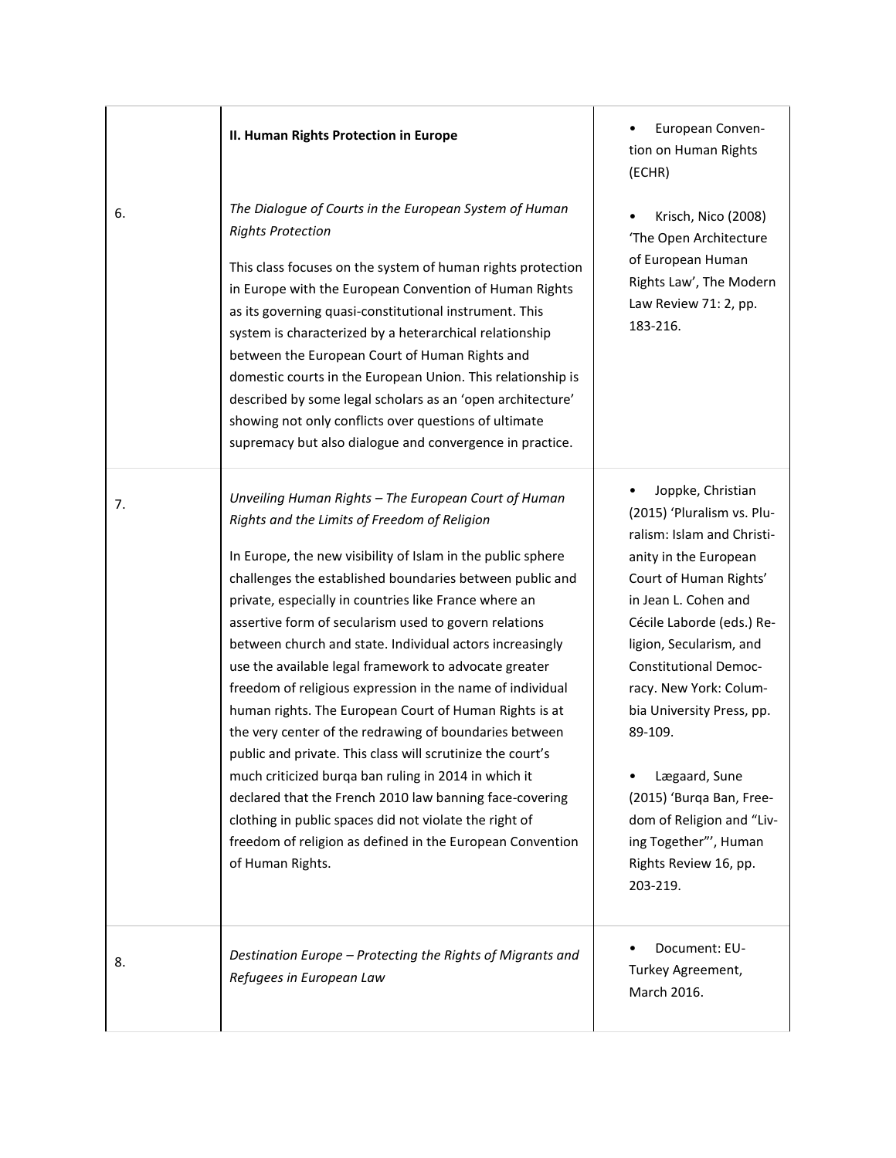|    | II. Human Rights Protection in Europe                                                                                                                                                                                                                                                                                                                                                                                                                                                                                                                                                                                                                                                                                                                                                                                                                                                                                                                                               | European Conven-<br>tion on Human Rights<br>(ECHR)                                                                                                                                                                                                                                                                                                                                                                                                              |
|----|-------------------------------------------------------------------------------------------------------------------------------------------------------------------------------------------------------------------------------------------------------------------------------------------------------------------------------------------------------------------------------------------------------------------------------------------------------------------------------------------------------------------------------------------------------------------------------------------------------------------------------------------------------------------------------------------------------------------------------------------------------------------------------------------------------------------------------------------------------------------------------------------------------------------------------------------------------------------------------------|-----------------------------------------------------------------------------------------------------------------------------------------------------------------------------------------------------------------------------------------------------------------------------------------------------------------------------------------------------------------------------------------------------------------------------------------------------------------|
| 6. | The Dialogue of Courts in the European System of Human<br><b>Rights Protection</b><br>This class focuses on the system of human rights protection<br>in Europe with the European Convention of Human Rights<br>as its governing quasi-constitutional instrument. This<br>system is characterized by a heterarchical relationship<br>between the European Court of Human Rights and<br>domestic courts in the European Union. This relationship is<br>described by some legal scholars as an 'open architecture'<br>showing not only conflicts over questions of ultimate<br>supremacy but also dialogue and convergence in practice.                                                                                                                                                                                                                                                                                                                                                | Krisch, Nico (2008)<br>'The Open Architecture<br>of European Human<br>Rights Law', The Modern<br>Law Review 71: 2, pp.<br>183-216.                                                                                                                                                                                                                                                                                                                              |
| 7. | Unveiling Human Rights - The European Court of Human<br>Rights and the Limits of Freedom of Religion<br>In Europe, the new visibility of Islam in the public sphere<br>challenges the established boundaries between public and<br>private, especially in countries like France where an<br>assertive form of secularism used to govern relations<br>between church and state. Individual actors increasingly<br>use the available legal framework to advocate greater<br>freedom of religious expression in the name of individual<br>human rights. The European Court of Human Rights is at<br>the very center of the redrawing of boundaries between<br>public and private. This class will scrutinize the court's<br>much criticized burqa ban ruling in 2014 in which it<br>declared that the French 2010 law banning face-covering<br>clothing in public spaces did not violate the right of<br>freedom of religion as defined in the European Convention<br>of Human Rights. | Joppke, Christian<br>٠<br>(2015) 'Pluralism vs. Plu-<br>ralism: Islam and Christi-<br>anity in the European<br>Court of Human Rights'<br>in Jean L. Cohen and<br>Cécile Laborde (eds.) Re-<br>ligion, Secularism, and<br><b>Constitutional Democ-</b><br>racy. New York: Colum-<br>bia University Press, pp.<br>89-109.<br>Lægaard, Sune<br>(2015) 'Burqa Ban, Free-<br>dom of Religion and "Liv-<br>ing Together"', Human<br>Rights Review 16, pp.<br>203-219. |
| 8. | Destination Europe - Protecting the Rights of Migrants and<br>Refugees in European Law                                                                                                                                                                                                                                                                                                                                                                                                                                                                                                                                                                                                                                                                                                                                                                                                                                                                                              | Document: EU-<br>Turkey Agreement,<br>March 2016.                                                                                                                                                                                                                                                                                                                                                                                                               |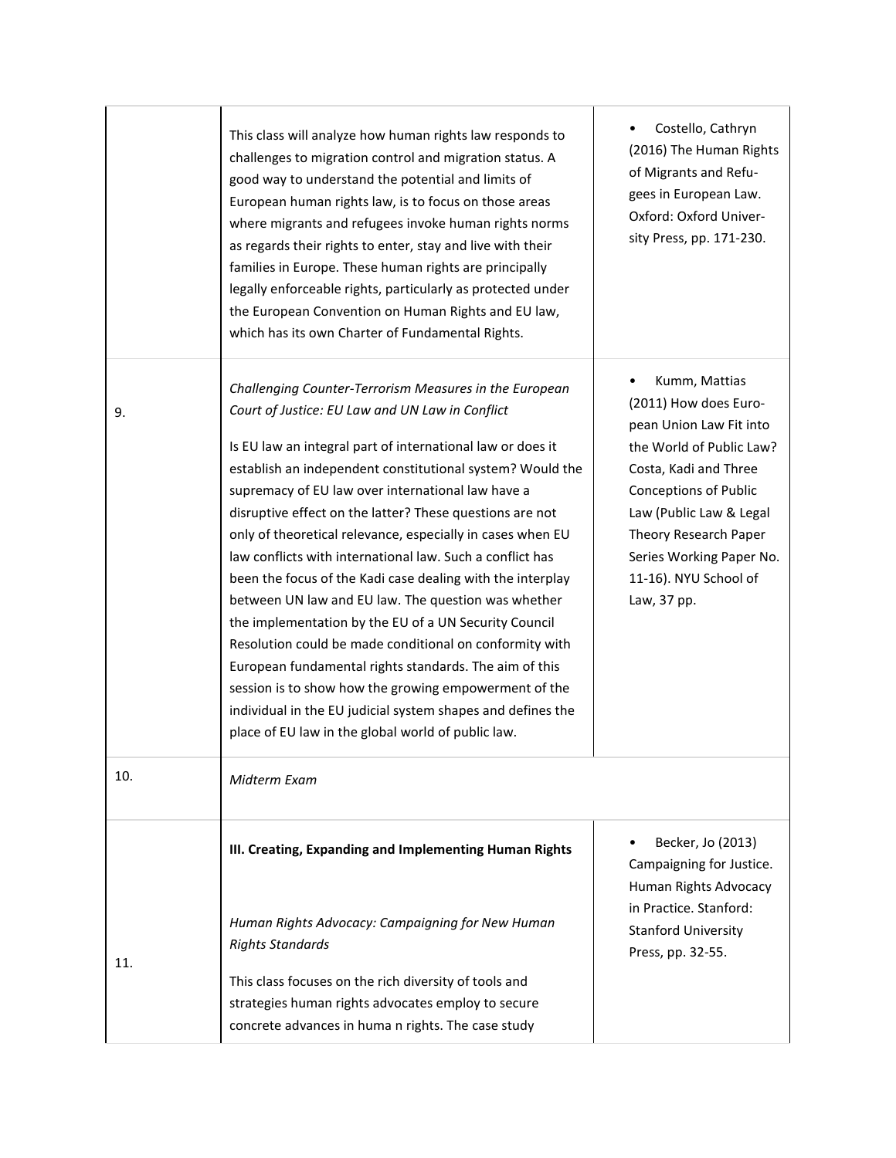|     | This class will analyze how human rights law responds to<br>challenges to migration control and migration status. A<br>good way to understand the potential and limits of<br>European human rights law, is to focus on those areas<br>where migrants and refugees invoke human rights norms<br>as regards their rights to enter, stay and live with their<br>families in Europe. These human rights are principally<br>legally enforceable rights, particularly as protected under<br>the European Convention on Human Rights and EU law,<br>which has its own Charter of Fundamental Rights.                                                                                                                                                                                                                                                                                                                                                                     | Costello, Cathryn<br>(2016) The Human Rights<br>of Migrants and Refu-<br>gees in European Law.<br>Oxford: Oxford Univer-<br>sity Press, pp. 171-230.                                                                                                                           |
|-----|-------------------------------------------------------------------------------------------------------------------------------------------------------------------------------------------------------------------------------------------------------------------------------------------------------------------------------------------------------------------------------------------------------------------------------------------------------------------------------------------------------------------------------------------------------------------------------------------------------------------------------------------------------------------------------------------------------------------------------------------------------------------------------------------------------------------------------------------------------------------------------------------------------------------------------------------------------------------|--------------------------------------------------------------------------------------------------------------------------------------------------------------------------------------------------------------------------------------------------------------------------------|
| 9.  | Challenging Counter-Terrorism Measures in the European<br>Court of Justice: EU Law and UN Law in Conflict<br>Is EU law an integral part of international law or does it<br>establish an independent constitutional system? Would the<br>supremacy of EU law over international law have a<br>disruptive effect on the latter? These questions are not<br>only of theoretical relevance, especially in cases when EU<br>law conflicts with international law. Such a conflict has<br>been the focus of the Kadi case dealing with the interplay<br>between UN law and EU law. The question was whether<br>the implementation by the EU of a UN Security Council<br>Resolution could be made conditional on conformity with<br>European fundamental rights standards. The aim of this<br>session is to show how the growing empowerment of the<br>individual in the EU judicial system shapes and defines the<br>place of EU law in the global world of public law. | Kumm, Mattias<br>(2011) How does Euro-<br>pean Union Law Fit into<br>the World of Public Law?<br>Costa, Kadi and Three<br><b>Conceptions of Public</b><br>Law (Public Law & Legal<br>Theory Research Paper<br>Series Working Paper No.<br>11-16). NYU School of<br>Law, 37 pp. |
| 10. | Midterm Exam                                                                                                                                                                                                                                                                                                                                                                                                                                                                                                                                                                                                                                                                                                                                                                                                                                                                                                                                                      |                                                                                                                                                                                                                                                                                |
| 11. | III. Creating, Expanding and Implementing Human Rights<br>Human Rights Advocacy: Campaigning for New Human<br><b>Rights Standards</b><br>This class focuses on the rich diversity of tools and<br>strategies human rights advocates employ to secure                                                                                                                                                                                                                                                                                                                                                                                                                                                                                                                                                                                                                                                                                                              | Becker, Jo (2013)<br>Campaigning for Justice.<br>Human Rights Advocacy<br>in Practice. Stanford:<br><b>Stanford University</b><br>Press, pp. 32-55.                                                                                                                            |
|     | concrete advances in huma n rights. The case study                                                                                                                                                                                                                                                                                                                                                                                                                                                                                                                                                                                                                                                                                                                                                                                                                                                                                                                |                                                                                                                                                                                                                                                                                |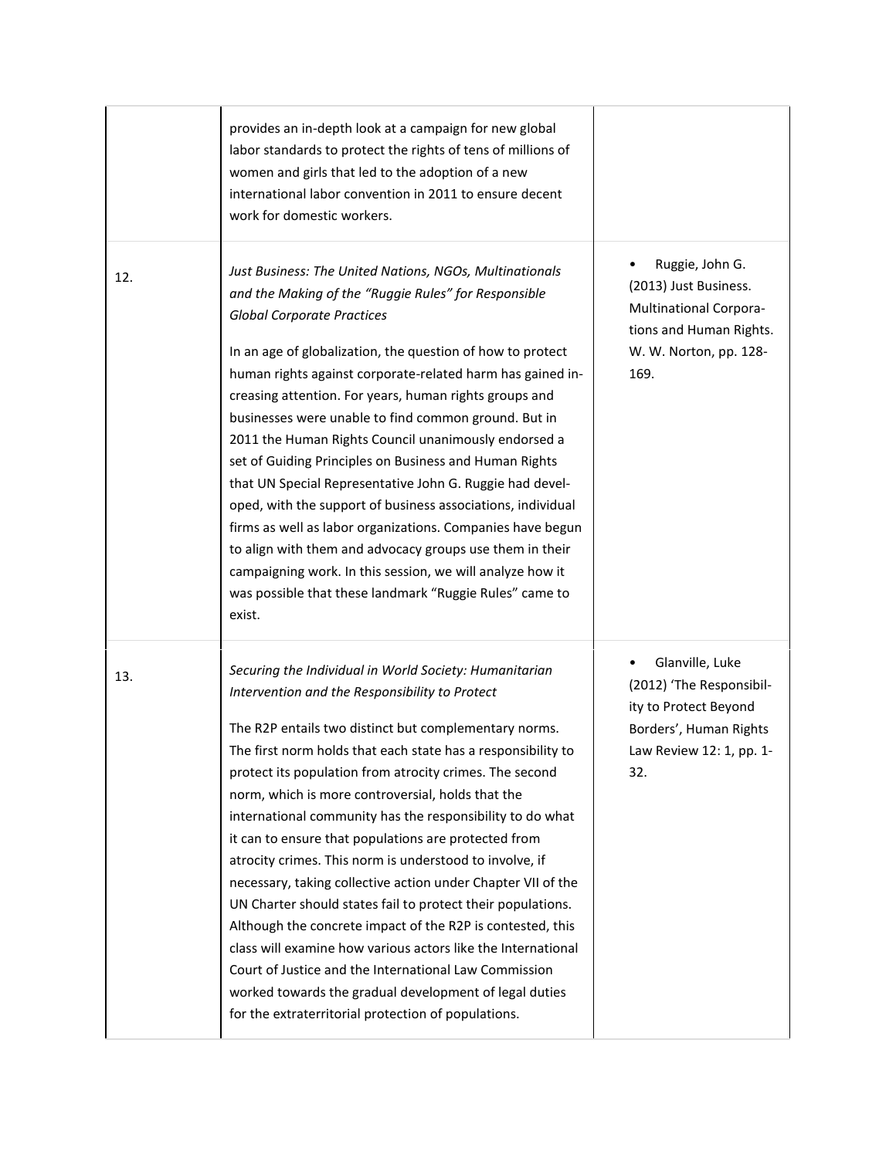|     | provides an in-depth look at a campaign for new global<br>labor standards to protect the rights of tens of millions of<br>women and girls that led to the adoption of a new<br>international labor convention in 2011 to ensure decent<br>work for domestic workers.                                                                                                                                                                                                                                                                                                                                                                                                                                                                                                                                                                                                                                                                                                     |                                                                                                                                        |
|-----|--------------------------------------------------------------------------------------------------------------------------------------------------------------------------------------------------------------------------------------------------------------------------------------------------------------------------------------------------------------------------------------------------------------------------------------------------------------------------------------------------------------------------------------------------------------------------------------------------------------------------------------------------------------------------------------------------------------------------------------------------------------------------------------------------------------------------------------------------------------------------------------------------------------------------------------------------------------------------|----------------------------------------------------------------------------------------------------------------------------------------|
| 12. | Just Business: The United Nations, NGOs, Multinationals<br>and the Making of the "Ruggie Rules" for Responsible<br><b>Global Corporate Practices</b><br>In an age of globalization, the question of how to protect<br>human rights against corporate-related harm has gained in-<br>creasing attention. For years, human rights groups and<br>businesses were unable to find common ground. But in<br>2011 the Human Rights Council unanimously endorsed a<br>set of Guiding Principles on Business and Human Rights<br>that UN Special Representative John G. Ruggie had devel-<br>oped, with the support of business associations, individual<br>firms as well as labor organizations. Companies have begun<br>to align with them and advocacy groups use them in their<br>campaigning work. In this session, we will analyze how it<br>was possible that these landmark "Ruggie Rules" came to<br>exist.                                                              | Ruggie, John G.<br>(2013) Just Business.<br><b>Multinational Corpora-</b><br>tions and Human Rights.<br>W. W. Norton, pp. 128-<br>169. |
| 13. | Securing the Individual in World Society: Humanitarian<br>Intervention and the Responsibility to Protect<br>The R2P entails two distinct but complementary norms.<br>The first norm holds that each state has a responsibility to<br>protect its population from atrocity crimes. The second<br>norm, which is more controversial, holds that the<br>international community has the responsibility to do what<br>it can to ensure that populations are protected from<br>atrocity crimes. This norm is understood to involve, if<br>necessary, taking collective action under Chapter VII of the<br>UN Charter should states fail to protect their populations.<br>Although the concrete impact of the R2P is contested, this<br>class will examine how various actors like the International<br>Court of Justice and the International Law Commission<br>worked towards the gradual development of legal duties<br>for the extraterritorial protection of populations. | Glanville, Luke<br>(2012) 'The Responsibil-<br>ity to Protect Beyond<br>Borders', Human Rights<br>Law Review 12: 1, pp. 1-<br>32.      |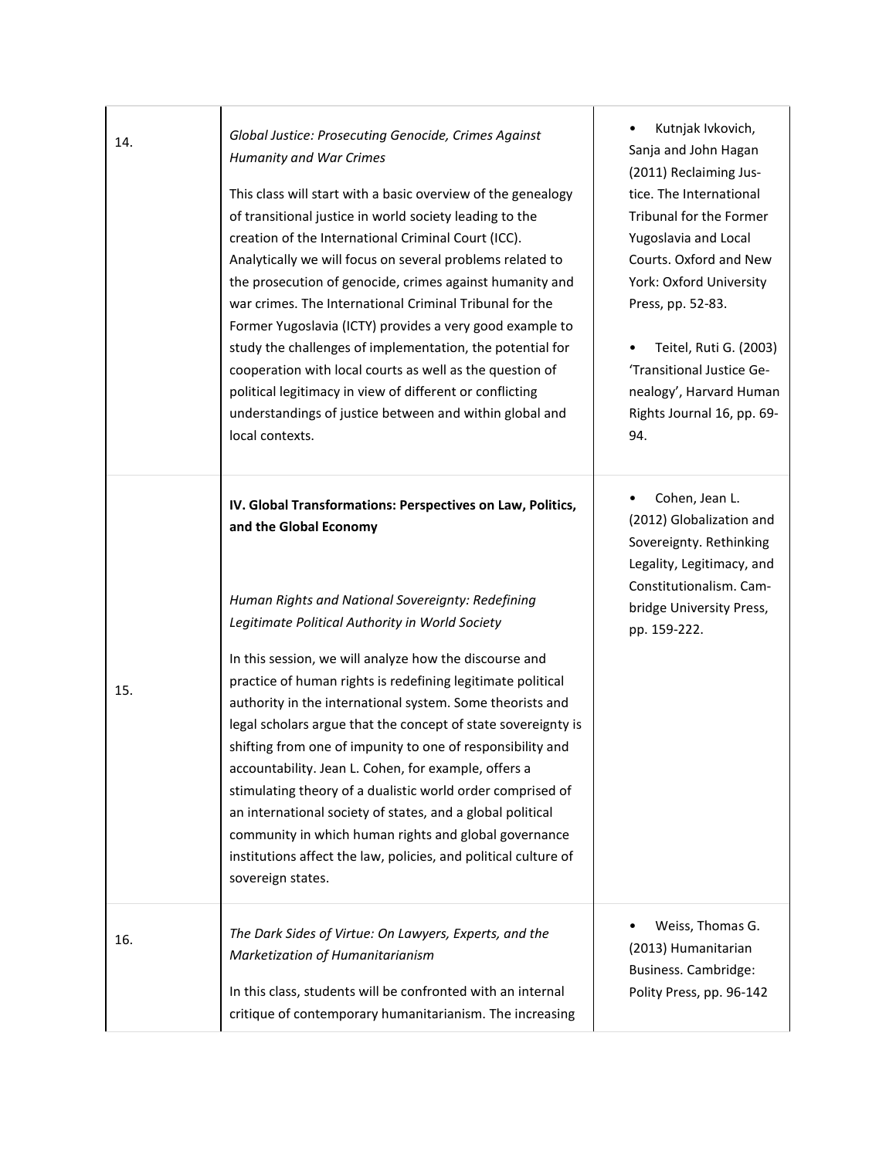| 14. | Global Justice: Prosecuting Genocide, Crimes Against<br>Humanity and War Crimes<br>This class will start with a basic overview of the genealogy<br>of transitional justice in world society leading to the<br>creation of the International Criminal Court (ICC).<br>Analytically we will focus on several problems related to<br>the prosecution of genocide, crimes against humanity and<br>war crimes. The International Criminal Tribunal for the<br>Former Yugoslavia (ICTY) provides a very good example to<br>study the challenges of implementation, the potential for<br>cooperation with local courts as well as the question of<br>political legitimacy in view of different or conflicting<br>understandings of justice between and within global and<br>local contexts.                                                                   | Kutnjak Ivkovich,<br>Sanja and John Hagan<br>(2011) Reclaiming Jus-<br>tice. The International<br>Tribunal for the Former<br>Yugoslavia and Local<br>Courts. Oxford and New<br>York: Oxford University<br>Press, pp. 52-83.<br>Teitel, Ruti G. (2003)<br>'Transitional Justice Ge-<br>nealogy', Harvard Human<br>Rights Journal 16, pp. 69-<br>94. |
|-----|--------------------------------------------------------------------------------------------------------------------------------------------------------------------------------------------------------------------------------------------------------------------------------------------------------------------------------------------------------------------------------------------------------------------------------------------------------------------------------------------------------------------------------------------------------------------------------------------------------------------------------------------------------------------------------------------------------------------------------------------------------------------------------------------------------------------------------------------------------|----------------------------------------------------------------------------------------------------------------------------------------------------------------------------------------------------------------------------------------------------------------------------------------------------------------------------------------------------|
| 15. | IV. Global Transformations: Perspectives on Law, Politics,<br>and the Global Economy<br>Human Rights and National Sovereignty: Redefining<br>Legitimate Political Authority in World Society<br>In this session, we will analyze how the discourse and<br>practice of human rights is redefining legitimate political<br>authority in the international system. Some theorists and<br>legal scholars argue that the concept of state sovereignty is<br>shifting from one of impunity to one of responsibility and<br>accountability. Jean L. Cohen, for example, offers a<br>stimulating theory of a dualistic world order comprised of<br>an international society of states, and a global political<br>community in which human rights and global governance<br>institutions affect the law, policies, and political culture of<br>sovereign states. | Cohen, Jean L.<br>٠<br>(2012) Globalization and<br>Sovereignty. Rethinking<br>Legality, Legitimacy, and<br>Constitutionalism. Cam-<br>bridge University Press,<br>pp. 159-222.                                                                                                                                                                     |
| 16. | The Dark Sides of Virtue: On Lawyers, Experts, and the<br>Marketization of Humanitarianism<br>In this class, students will be confronted with an internal<br>critique of contemporary humanitarianism. The increasing                                                                                                                                                                                                                                                                                                                                                                                                                                                                                                                                                                                                                                  | Weiss, Thomas G.<br>(2013) Humanitarian<br>Business. Cambridge:<br>Polity Press, pp. 96-142                                                                                                                                                                                                                                                        |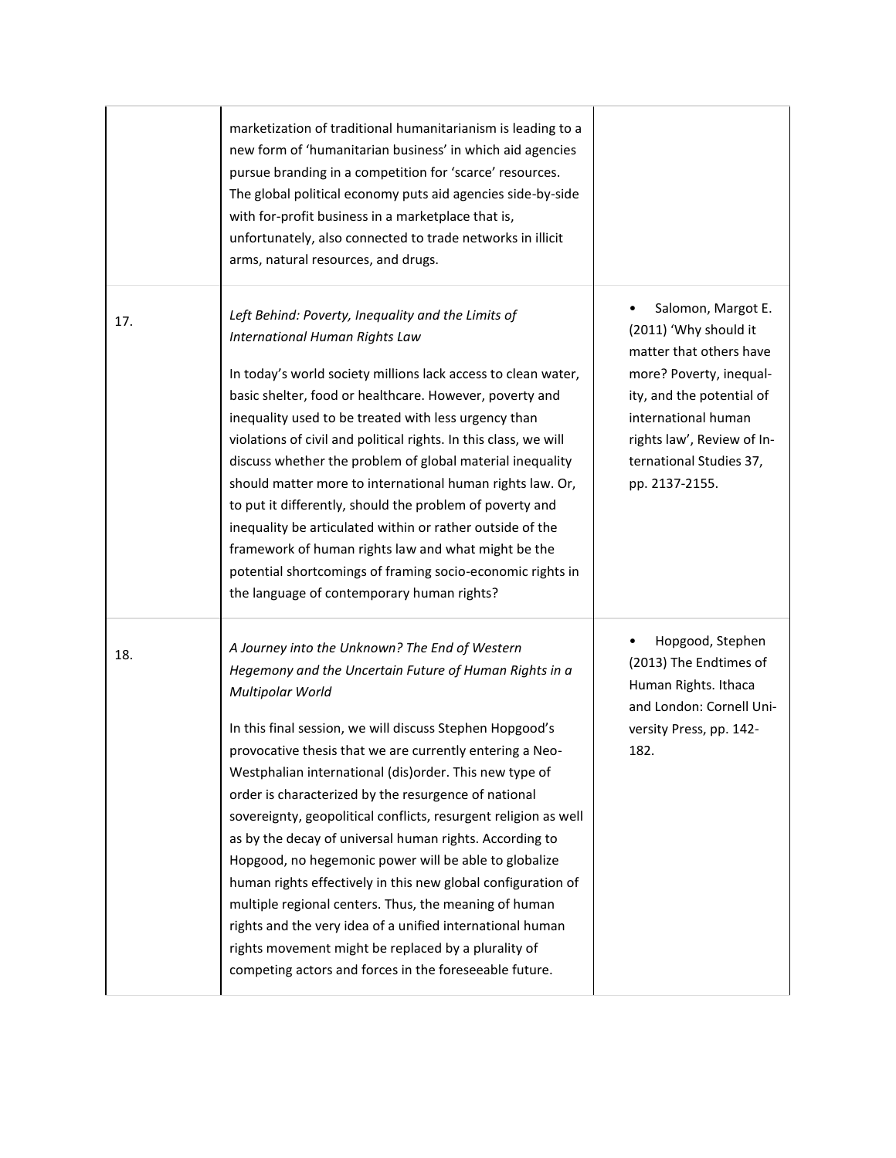|     | marketization of traditional humanitarianism is leading to a<br>new form of 'humanitarian business' in which aid agencies<br>pursue branding in a competition for 'scarce' resources.<br>The global political economy puts aid agencies side-by-side<br>with for-profit business in a marketplace that is,<br>unfortunately, also connected to trade networks in illicit<br>arms, natural resources, and drugs.                                                                                                                                                                                                                                                                                                                                                                                                                                                      |                                                                                                                                                                                                                                  |
|-----|----------------------------------------------------------------------------------------------------------------------------------------------------------------------------------------------------------------------------------------------------------------------------------------------------------------------------------------------------------------------------------------------------------------------------------------------------------------------------------------------------------------------------------------------------------------------------------------------------------------------------------------------------------------------------------------------------------------------------------------------------------------------------------------------------------------------------------------------------------------------|----------------------------------------------------------------------------------------------------------------------------------------------------------------------------------------------------------------------------------|
| 17. | Left Behind: Poverty, Inequality and the Limits of<br>International Human Rights Law<br>In today's world society millions lack access to clean water,<br>basic shelter, food or healthcare. However, poverty and<br>inequality used to be treated with less urgency than<br>violations of civil and political rights. In this class, we will<br>discuss whether the problem of global material inequality<br>should matter more to international human rights law. Or,<br>to put it differently, should the problem of poverty and<br>inequality be articulated within or rather outside of the<br>framework of human rights law and what might be the<br>potential shortcomings of framing socio-economic rights in<br>the language of contemporary human rights?                                                                                                   | Salomon, Margot E.<br>(2011) 'Why should it<br>matter that others have<br>more? Poverty, inequal-<br>ity, and the potential of<br>international human<br>rights law', Review of In-<br>ternational Studies 37,<br>pp. 2137-2155. |
| 18. | A Journey into the Unknown? The End of Western<br>Hegemony and the Uncertain Future of Human Rights in a<br>Multipolar World<br>In this final session, we will discuss Stephen Hopgood's<br>provocative thesis that we are currently entering a Neo-<br>Westphalian international (dis)order. This new type of<br>order is characterized by the resurgence of national<br>sovereignty, geopolitical conflicts, resurgent religion as well<br>as by the decay of universal human rights. According to<br>Hopgood, no hegemonic power will be able to globalize<br>human rights effectively in this new global configuration of<br>multiple regional centers. Thus, the meaning of human<br>rights and the very idea of a unified international human<br>rights movement might be replaced by a plurality of<br>competing actors and forces in the foreseeable future. | Hopgood, Stephen<br>(2013) The Endtimes of<br>Human Rights. Ithaca<br>and London: Cornell Uni-<br>versity Press, pp. 142-<br>182.                                                                                                |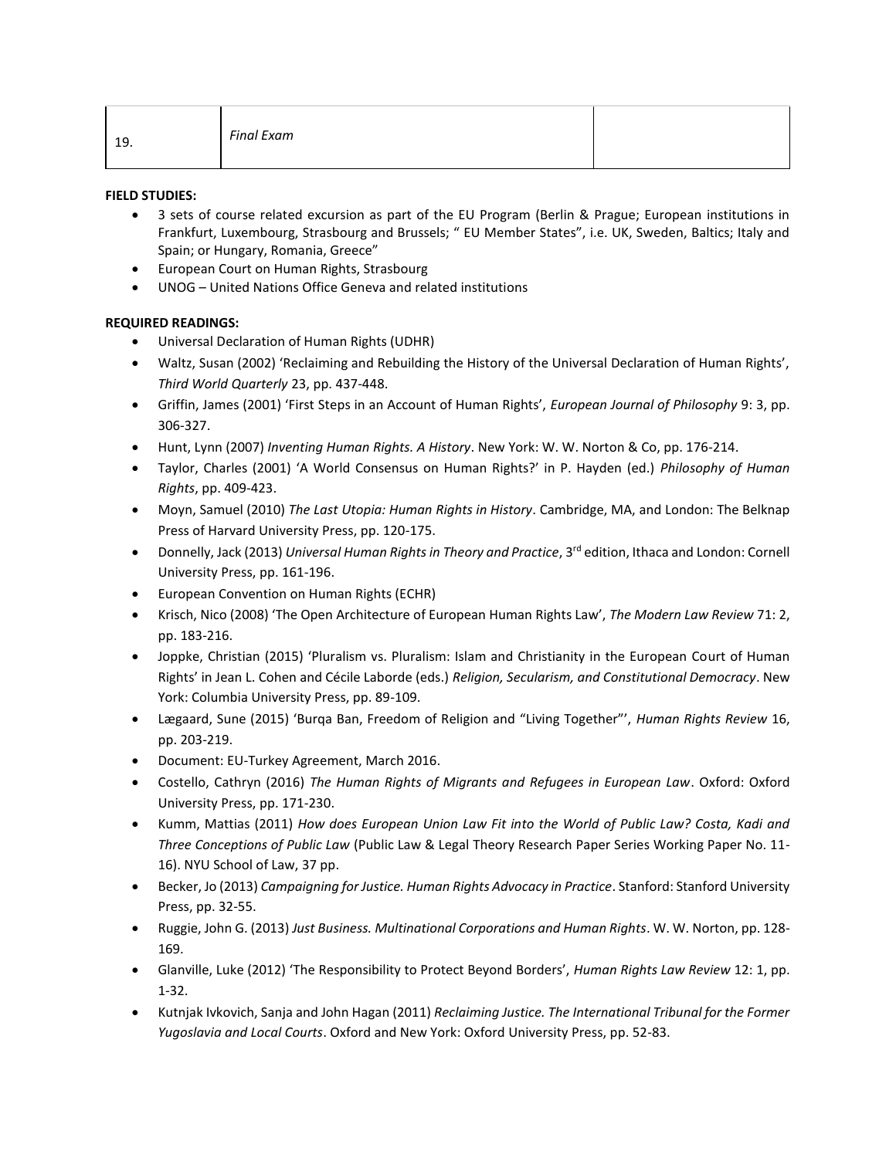# **FIELD STUDIES:**

- 3 sets of course related excursion as part of the EU Program (Berlin & Prague; European institutions in Frankfurt, Luxembourg, Strasbourg and Brussels; " EU Member States", i.e. UK, Sweden, Baltics; Italy and Spain; or Hungary, Romania, Greece"
- European Court on Human Rights, Strasbourg
- UNOG United Nations Office Geneva and related institutions

# **REQUIRED READINGS:**

- Universal Declaration of Human Rights (UDHR)
- Waltz, Susan (2002) 'Reclaiming and Rebuilding the History of the Universal Declaration of Human Rights', *Third World Quarterly* 23, pp. 437-448.
- Griffin, James (2001) 'First Steps in an Account of Human Rights', *European Journal of Philosophy* 9: 3, pp. 306-327.
- Hunt, Lynn (2007) *Inventing Human Rights. A History*. New York: W. W. Norton & Co, pp. 176-214.
- Taylor, Charles (2001) 'A World Consensus on Human Rights?' in P. Hayden (ed.) *Philosophy of Human Rights*, pp. 409-423.
- Moyn, Samuel (2010) *The Last Utopia: Human Rights in History*. Cambridge, MA, and London: The Belknap Press of Harvard University Press, pp. 120-175.
- **Donnelly, Jack (2013)** *Universal Human Rights in Theory and Practice***, 3<sup>rd</sup> edition, Ithaca and London: Cornell <b>Contell** University Press, pp. 161-196.
- European Convention on Human Rights (ECHR)
- Krisch, Nico (2008) 'The Open Architecture of European Human Rights Law', *The Modern Law Review* 71: 2, pp. 183-216.
- Joppke, Christian (2015) 'Pluralism vs. Pluralism: Islam and Christianity in the European Court of Human Rights' in Jean L. Cohen and Cécile Laborde (eds.) *Religion, Secularism, and Constitutional Democracy*. New York: Columbia University Press, pp. 89-109.
- Lægaard, Sune (2015) 'Burqa Ban, Freedom of Religion and "Living Together"', *Human Rights Review* 16, pp. 203-219.
- Document: EU-Turkey Agreement, March 2016.
- Costello, Cathryn (2016) *The Human Rights of Migrants and Refugees in European Law*. Oxford: Oxford University Press, pp. 171-230.
- Kumm, Mattias (2011) *How does European Union Law Fit into the World of Public Law? Costa, Kadi and Three Conceptions of Public Law* (Public Law & Legal Theory Research Paper Series Working Paper No. 11- 16). NYU School of Law, 37 pp.
- Becker, Jo (2013) *Campaigning for Justice. Human Rights Advocacy in Practice*. Stanford: Stanford University Press, pp. 32-55.
- Ruggie, John G. (2013) *Just Business. Multinational Corporations and Human Rights*. W. W. Norton, pp. 128- 169.
- Glanville, Luke (2012) 'The Responsibility to Protect Beyond Borders', *Human Rights Law Review* 12: 1, pp. 1-32.
- Kutnjak Ivkovich, Sanja and John Hagan (2011) *Reclaiming Justice. The International Tribunal for the Former Yugoslavia and Local Courts*. Oxford and New York: Oxford University Press, pp. 52-83.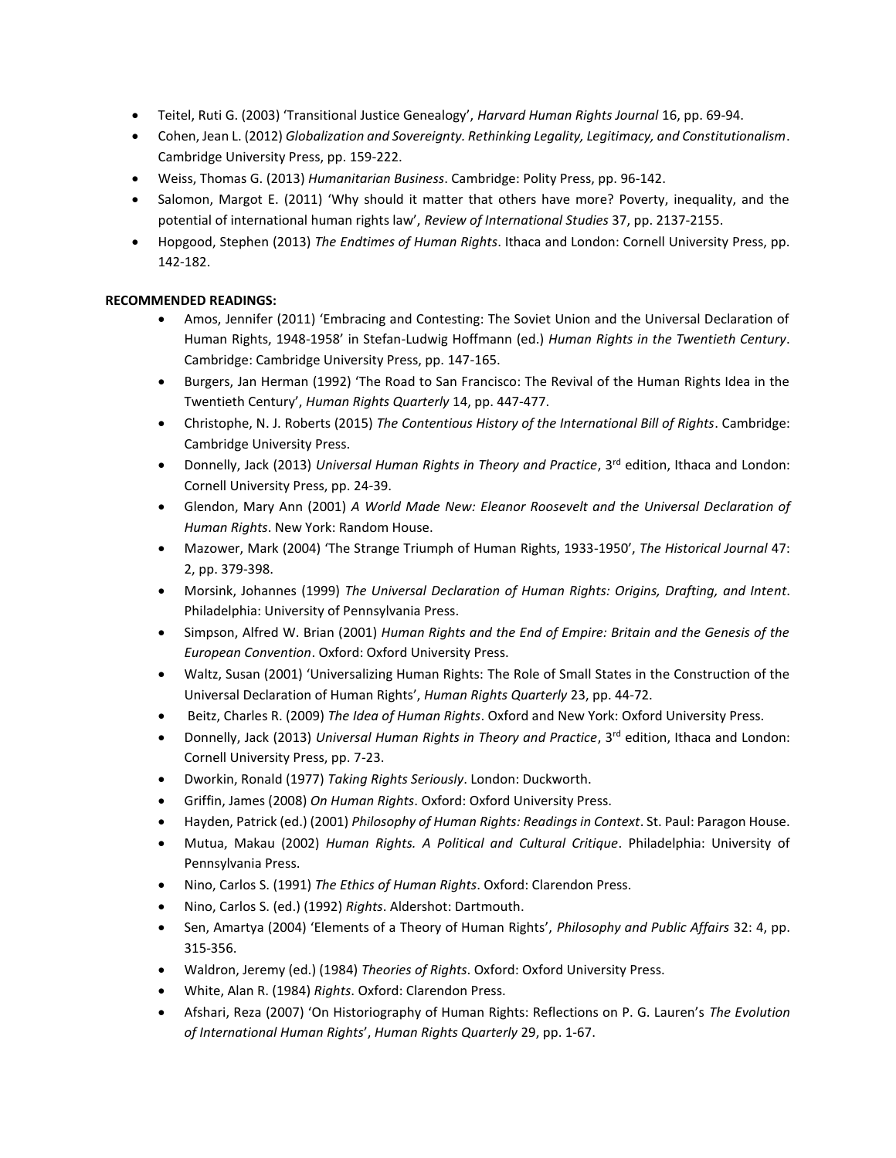- Teitel, Ruti G. (2003) 'Transitional Justice Genealogy', *Harvard Human Rights Journal* 16, pp. 69-94.
- Cohen, Jean L. (2012) *Globalization and Sovereignty. Rethinking Legality, Legitimacy, and Constitutionalism*. Cambridge University Press, pp. 159-222.
- Weiss, Thomas G. (2013) *Humanitarian Business*. Cambridge: Polity Press, pp. 96-142.
- Salomon, Margot E. (2011) 'Why should it matter that others have more? Poverty, inequality, and the potential of international human rights law', *Review of International Studies* 37, pp. 2137-2155.
- Hopgood, Stephen (2013) *The Endtimes of Human Rights*. Ithaca and London: Cornell University Press, pp. 142-182.

# **RECOMMENDED READINGS:**

- Amos, Jennifer (2011) 'Embracing and Contesting: The Soviet Union and the Universal Declaration of Human Rights, 1948-1958' in Stefan-Ludwig Hoffmann (ed.) *Human Rights in the Twentieth Century*. Cambridge: Cambridge University Press, pp. 147-165.
- Burgers, Jan Herman (1992) 'The Road to San Francisco: The Revival of the Human Rights Idea in the Twentieth Century', *Human Rights Quarterly* 14, pp. 447-477.
- Christophe, N. J. Roberts (2015) *The Contentious History of the International Bill of Rights*. Cambridge: Cambridge University Press.
- Donnelly, Jack (2013) *Universal Human Rights in Theory and Practice*, 3<sup>rd</sup> edition, Ithaca and London: Cornell University Press, pp. 24-39.
- Glendon, Mary Ann (2001) *A World Made New: Eleanor Roosevelt and the Universal Declaration of Human Rights*. New York: Random House.
- Mazower, Mark (2004) 'The Strange Triumph of Human Rights, 1933-1950', *The Historical Journal* 47: 2, pp. 379-398.
- Morsink, Johannes (1999) *The Universal Declaration of Human Rights: Origins, Drafting, and Intent*. Philadelphia: University of Pennsylvania Press.
- Simpson, Alfred W. Brian (2001) *Human Rights and the End of Empire: Britain and the Genesis of the European Convention*. Oxford: Oxford University Press.
- Waltz, Susan (2001) 'Universalizing Human Rights: The Role of Small States in the Construction of the Universal Declaration of Human Rights', *Human Rights Quarterly* 23, pp. 44-72.
- Beitz, Charles R. (2009) *The Idea of Human Rights*. Oxford and New York: Oxford University Press.
- Donnelly, Jack (2013) *Universal Human Rights in Theory and Practice*, 3<sup>rd</sup> edition, Ithaca and London: Cornell University Press, pp. 7-23.
- Dworkin, Ronald (1977) *Taking Rights Seriously*. London: Duckworth.
- Griffin, James (2008) *On Human Rights*. Oxford: Oxford University Press.
- Hayden, Patrick (ed.) (2001) *Philosophy of Human Rights: Readings in Context*. St. Paul: Paragon House.
- Mutua, Makau (2002) *Human Rights. A Political and Cultural Critique*. Philadelphia: University of Pennsylvania Press.
- Nino, Carlos S. (1991) *The Ethics of Human Rights*. Oxford: Clarendon Press.
- Nino, Carlos S. (ed.) (1992) *Rights*. Aldershot: Dartmouth.
- Sen, Amartya (2004) 'Elements of a Theory of Human Rights', *Philosophy and Public Affairs* 32: 4, pp. 315-356.
- Waldron, Jeremy (ed.) (1984) *Theories of Rights*. Oxford: Oxford University Press.
- White, Alan R. (1984) *Rights*. Oxford: Clarendon Press.
- Afshari, Reza (2007) 'On Historiography of Human Rights: Reflections on P. G. Lauren's *The Evolution of International Human Rights*', *Human Rights Quarterly* 29, pp. 1-67.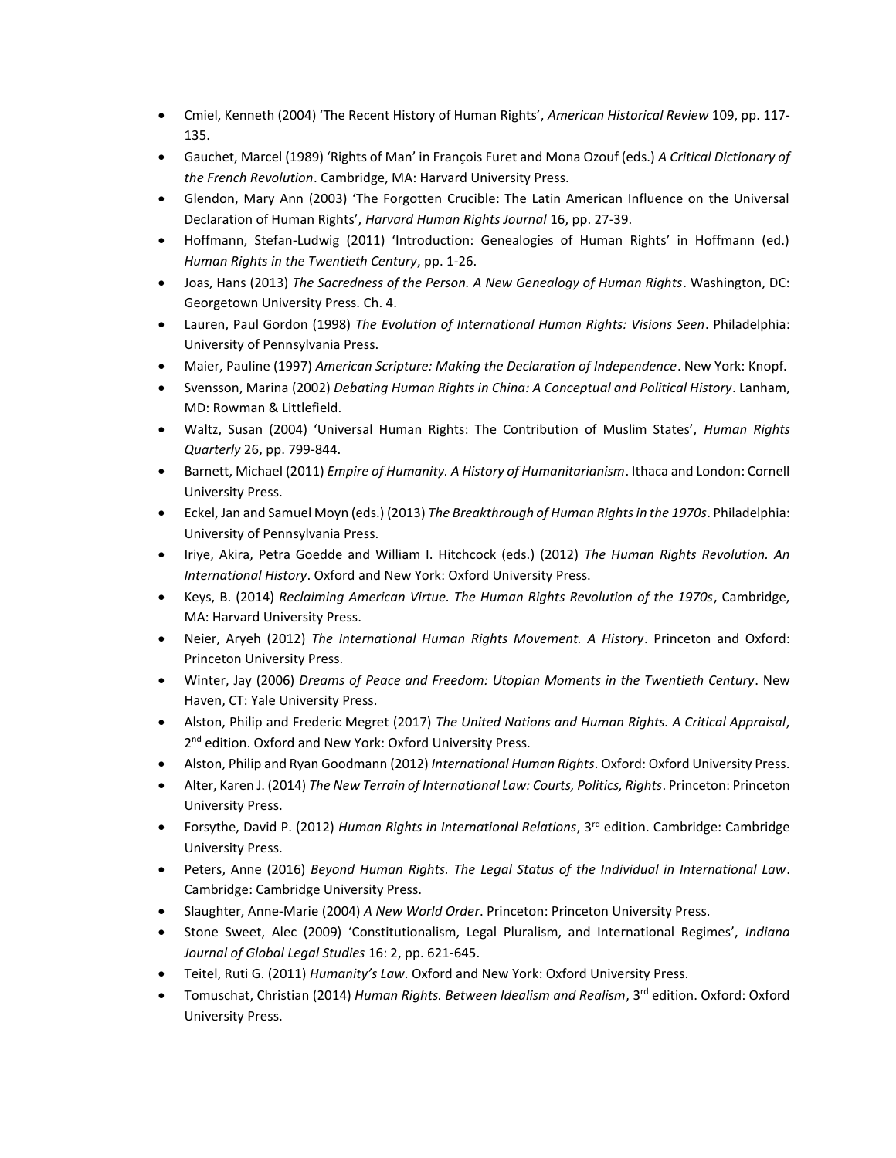- Cmiel, Kenneth (2004) 'The Recent History of Human Rights', *American Historical Review* 109, pp. 117- 135.
- Gauchet, Marcel (1989) 'Rights of Man' in François Furet and Mona Ozouf (eds.) *A Critical Dictionary of the French Revolution*. Cambridge, MA: Harvard University Press.
- Glendon, Mary Ann (2003) 'The Forgotten Crucible: The Latin American Influence on the Universal Declaration of Human Rights', *Harvard Human Rights Journal* 16, pp. 27-39.
- Hoffmann, Stefan-Ludwig (2011) 'Introduction: Genealogies of Human Rights' in Hoffmann (ed.) *Human Rights in the Twentieth Century*, pp. 1-26.
- Joas, Hans (2013) *The Sacredness of the Person. A New Genealogy of Human Rights*. Washington, DC: Georgetown University Press. Ch. 4.
- Lauren, Paul Gordon (1998) *The Evolution of International Human Rights: Visions Seen*. Philadelphia: University of Pennsylvania Press.
- Maier, Pauline (1997) *American Scripture: Making the Declaration of Independence*. New York: Knopf.
- Svensson, Marina (2002) *Debating Human Rights in China: A Conceptual and Political History*. Lanham, MD: Rowman & Littlefield.
- Waltz, Susan (2004) 'Universal Human Rights: The Contribution of Muslim States', *Human Rights Quarterly* 26, pp. 799-844.
- Barnett, Michael (2011) *Empire of Humanity. A History of Humanitarianism*. Ithaca and London: Cornell University Press.
- Eckel, Jan and Samuel Moyn (eds.) (2013) *The Breakthrough of Human Rights in the 1970s*. Philadelphia: University of Pennsylvania Press.
- Iriye, Akira, Petra Goedde and William I. Hitchcock (eds.) (2012) *The Human Rights Revolution. An International History*. Oxford and New York: Oxford University Press.
- Keys, B. (2014) *Reclaiming American Virtue. The Human Rights Revolution of the 1970s*, Cambridge, MA: Harvard University Press.
- Neier, Aryeh (2012) *The International Human Rights Movement. A History*. Princeton and Oxford: Princeton University Press.
- Winter, Jay (2006) *Dreams of Peace and Freedom: Utopian Moments in the Twentieth Century*. New Haven, CT: Yale University Press.
- Alston, Philip and Frederic Megret (2017) *The United Nations and Human Rights. A Critical Appraisal*, 2<sup>nd</sup> edition. Oxford and New York: Oxford University Press.
- Alston, Philip and Ryan Goodmann (2012) *International Human Rights*. Oxford: Oxford University Press.
- Alter, Karen J. (2014) *The New Terrain of International Law: Courts, Politics, Rights*. Princeton: Princeton University Press.
- Forsythe, David P. (2012) *Human Rights in International Relations*, 3<sup>rd</sup> edition. Cambridge: Cambridge University Press.
- Peters, Anne (2016) *Beyond Human Rights. The Legal Status of the Individual in International Law*. Cambridge: Cambridge University Press.
- Slaughter, Anne-Marie (2004) *A New World Order*. Princeton: Princeton University Press.
- Stone Sweet, Alec (2009) 'Constitutionalism, Legal Pluralism, and International Regimes', *Indiana Journal of Global Legal Studies* 16: 2, pp. 621-645.
- Teitel, Ruti G. (2011) *Humanity's Law*. Oxford and New York: Oxford University Press.
- **•** Tomuschat, Christian (2014) *Human Rights. Between Idealism and Realism*, 3<sup>rd</sup> edition. Oxford: Oxford University Press.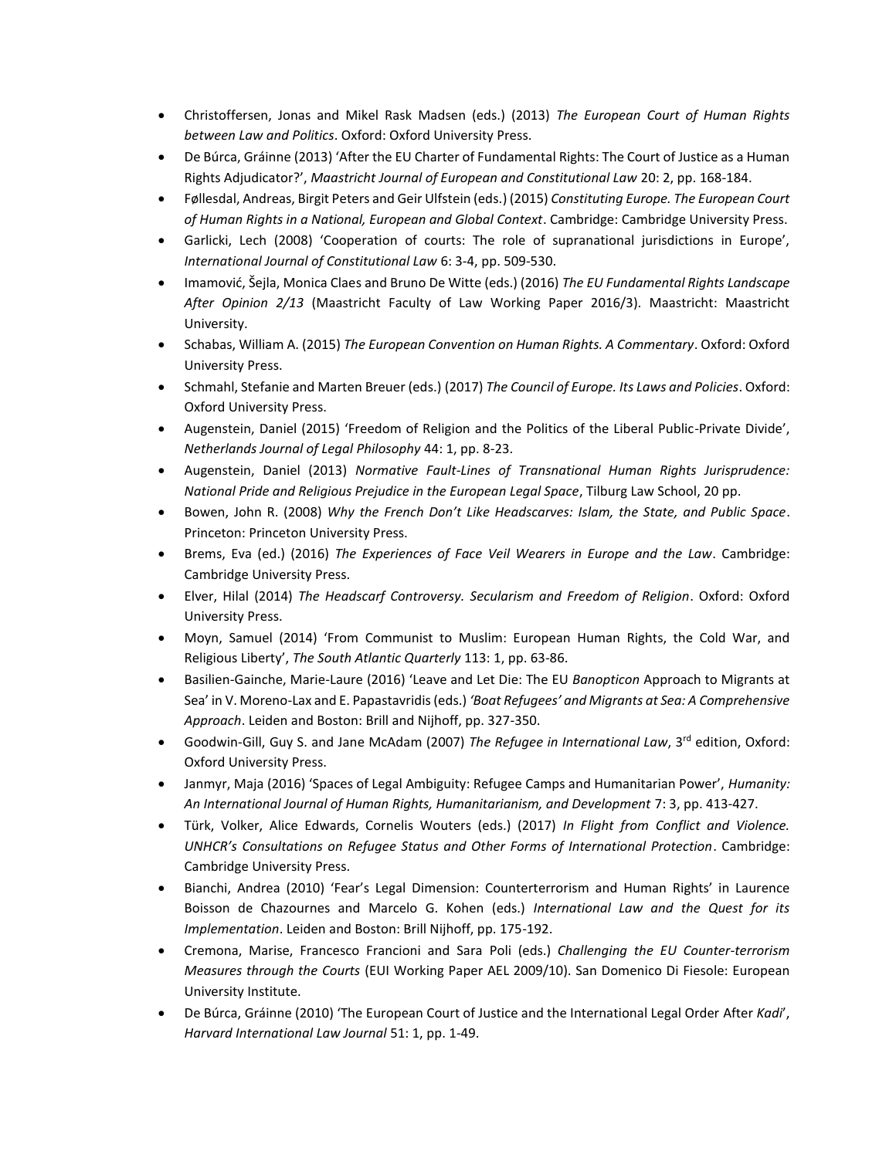- Christoffersen, Jonas and Mikel Rask Madsen (eds.) (2013) *The European Court of Human Rights between Law and Politics*. Oxford: Oxford University Press.
- De Búrca, Gráinne (2013) 'After the EU Charter of Fundamental Rights: The Court of Justice as a Human Rights Adjudicator?', *Maastricht Journal of European and Constitutional Law* 20: 2, pp. 168-184.
- Føllesdal, Andreas, Birgit Peters and Geir Ulfstein (eds.) (2015) *Constituting Europe. The European Court of Human Rights in a National, European and Global Context*. Cambridge: Cambridge University Press.
- Garlicki, Lech (2008) 'Cooperation of courts: The role of supranational jurisdictions in Europe', *International Journal of Constitutional Law* 6: 3-4, pp. 509-530.
- Imamović, Šejla, Monica Claes and Bruno De Witte (eds.) (2016) *The EU Fundamental Rights Landscape After Opinion 2/13* (Maastricht Faculty of Law Working Paper 2016/3). Maastricht: Maastricht University.
- Schabas, William A. (2015) *The European Convention on Human Rights. A Commentary*. Oxford: Oxford University Press.
- Schmahl, Stefanie and Marten Breuer (eds.) (2017) *The Council of Europe. Its Laws and Policies*. Oxford: Oxford University Press.
- Augenstein, Daniel (2015) 'Freedom of Religion and the Politics of the Liberal Public-Private Divide', *Netherlands Journal of Legal Philosophy* 44: 1, pp. 8-23.
- Augenstein, Daniel (2013) *Normative Fault-Lines of Transnational Human Rights Jurisprudence: National Pride and Religious Prejudice in the European Legal Space*, Tilburg Law School, 20 pp.
- Bowen, John R. (2008) *Why the French Don't Like Headscarves: Islam, the State, and Public Space*. Princeton: Princeton University Press.
- Brems, Eva (ed.) (2016) *The Experiences of Face Veil Wearers in Europe and the Law*. Cambridge: Cambridge University Press.
- Elver, Hilal (2014) *The Headscarf Controversy. Secularism and Freedom of Religion*. Oxford: Oxford University Press.
- Moyn, Samuel (2014) 'From Communist to Muslim: European Human Rights, the Cold War, and Religious Liberty', *The South Atlantic Quarterly* 113: 1, pp. 63-86.
- Basilien-Gainche, Marie-Laure (2016) 'Leave and Let Die: The EU *Banopticon* Approach to Migrants at Sea' in V. Moreno-Lax and E. Papastavridis (eds.) *'Boat Refugees' and Migrants at Sea: A Comprehensive Approach*. Leiden and Boston: Brill and Nijhoff, pp. 327-350.
- Goodwin-Gill, Guy S. and Jane McAdam (2007) *The Refugee in International Law*, 3rd edition, Oxford: Oxford University Press.
- Janmyr, Maja (2016) 'Spaces of Legal Ambiguity: Refugee Camps and Humanitarian Power', *Humanity: An International Journal of Human Rights, Humanitarianism, and Development* 7: 3, pp. 413-427.
- Türk, Volker, Alice Edwards, Cornelis Wouters (eds.) (2017) *In Flight from Conflict and Violence. UNHCR's Consultations on Refugee Status and Other Forms of International Protection*. Cambridge: Cambridge University Press.
- Bianchi, Andrea (2010) 'Fear's Legal Dimension: Counterterrorism and Human Rights' in Laurence Boisson de Chazournes and Marcelo G. Kohen (eds.) *International Law and the Quest for its Implementation*. Leiden and Boston: Brill Nijhoff, pp. 175-192.
- Cremona, Marise, Francesco Francioni and Sara Poli (eds.) *Challenging the EU Counter-terrorism Measures through the Courts* (EUI Working Paper AEL 2009/10). San Domenico Di Fiesole: European University Institute.
- De Búrca, Gráinne (2010) 'The European Court of Justice and the International Legal Order After *Kadi*', *Harvard International Law Journal* 51: 1, pp. 1-49.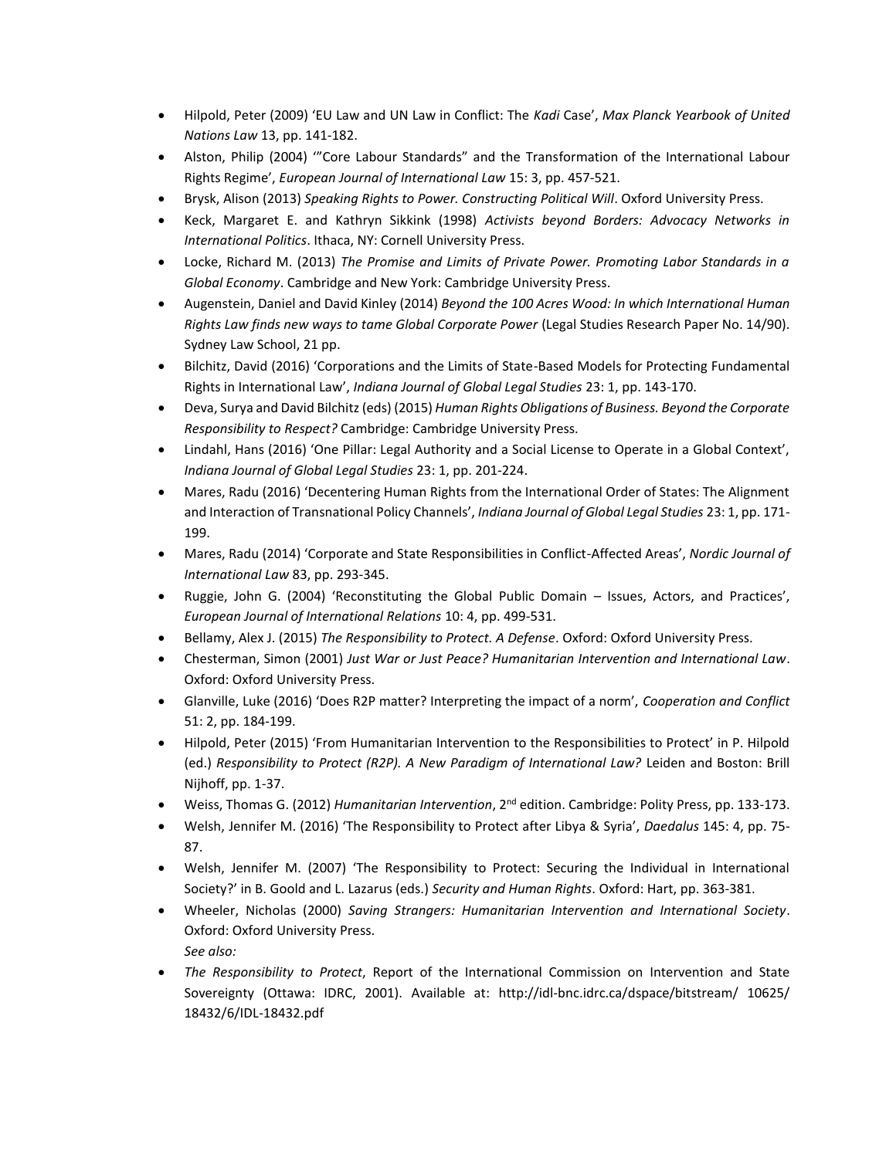- Hilpold, Peter (2009) 'EU Law and UN Law in Conflict: The *Kadi* Case', *Max Planck Yearbook of United Nations Law* 13, pp. 141-182.
- Alston, Philip (2004) '"Core Labour Standards" and the Transformation of the International Labour Rights Regime', *European Journal of International Law* 15: 3, pp. 457-521.
- Brysk, Alison (2013) *Speaking Rights to Power. Constructing Political Will*. Oxford University Press.
- Keck, Margaret E. and Kathryn Sikkink (1998) *Activists beyond Borders: Advocacy Networks in International Politics*. Ithaca, NY: Cornell University Press.
- Locke, Richard M. (2013) *The Promise and Limits of Private Power. Promoting Labor Standards in a Global Economy*. Cambridge and New York: Cambridge University Press.
- Augenstein, Daniel and David Kinley (2014) *Beyond the 100 Acres Wood: In which International Human Rights Law finds new ways to tame Global Corporate Power* (Legal Studies Research Paper No. 14/90). Sydney Law School, 21 pp.
- Bilchitz, David (2016) 'Corporations and the Limits of State-Based Models for Protecting Fundamental Rights in International Law', *Indiana Journal of Global Legal Studies* 23: 1, pp. 143-170.
- Deva, Surya and David Bilchitz (eds) (2015) *Human Rights Obligations of Business. Beyond the Corporate Responsibility to Respect?* Cambridge: Cambridge University Press.
- Lindahl, Hans (2016) 'One Pillar: Legal Authority and a Social License to Operate in a Global Context', *Indiana Journal of Global Legal Studies* 23: 1, pp. 201-224.
- Mares, Radu (2016) 'Decentering Human Rights from the International Order of States: The Alignment and Interaction of Transnational Policy Channels', *Indiana Journal of Global Legal Studies* 23: 1, pp. 171- 199.
- Mares, Radu (2014) 'Corporate and State Responsibilities in Conflict-Affected Areas', *Nordic Journal of International Law* 83, pp. 293-345.
- Ruggie, John G. (2004) 'Reconstituting the Global Public Domain Issues, Actors, and Practices', *European Journal of International Relations* 10: 4, pp. 499-531.
- Bellamy, Alex J. (2015) *The Responsibility to Protect. A Defense*. Oxford: Oxford University Press.
- Chesterman, Simon (2001) *Just War or Just Peace? Humanitarian Intervention and International Law*. Oxford: Oxford University Press.
- Glanville, Luke (2016) 'Does R2P matter? Interpreting the impact of a norm', *Cooperation and Conflict*  51: 2, pp. 184-199.
- Hilpold, Peter (2015) 'From Humanitarian Intervention to the Responsibilities to Protect' in P. Hilpold (ed.) *Responsibility to Protect (R2P). A New Paradigm of International Law?* Leiden and Boston: Brill Nijhoff, pp. 1-37.
- Weiss, Thomas G. (2012) *Humanitarian Intervention*, 2nd edition. Cambridge: Polity Press, pp. 133-173.
- Welsh, Jennifer M. (2016) 'The Responsibility to Protect after Libya & Syria', *Daedalus* 145: 4, pp. 75- 87.
- Welsh, Jennifer M. (2007) 'The Responsibility to Protect: Securing the Individual in International Society?' in B. Goold and L. Lazarus (eds.) *Security and Human Rights*. Oxford: Hart, pp. 363-381.
- Wheeler, Nicholas (2000) *Saving Strangers: Humanitarian Intervention and International Society*. Oxford: Oxford University Press. *See also:*
- *The Responsibility to Protect*, Report of the International Commission on Intervention and State Sovereignty (Ottawa: IDRC, 2001). Available at: [http://idl-bnc.idrc.ca/dspace/bitstream/ 10625/](http://idl-bnc.idrc.ca/dspace/bitstream/%2010625/%2018432/6/IDL-18432.pdf)  [18432/6/IDL-18432.pdf](http://idl-bnc.idrc.ca/dspace/bitstream/%2010625/%2018432/6/IDL-18432.pdf)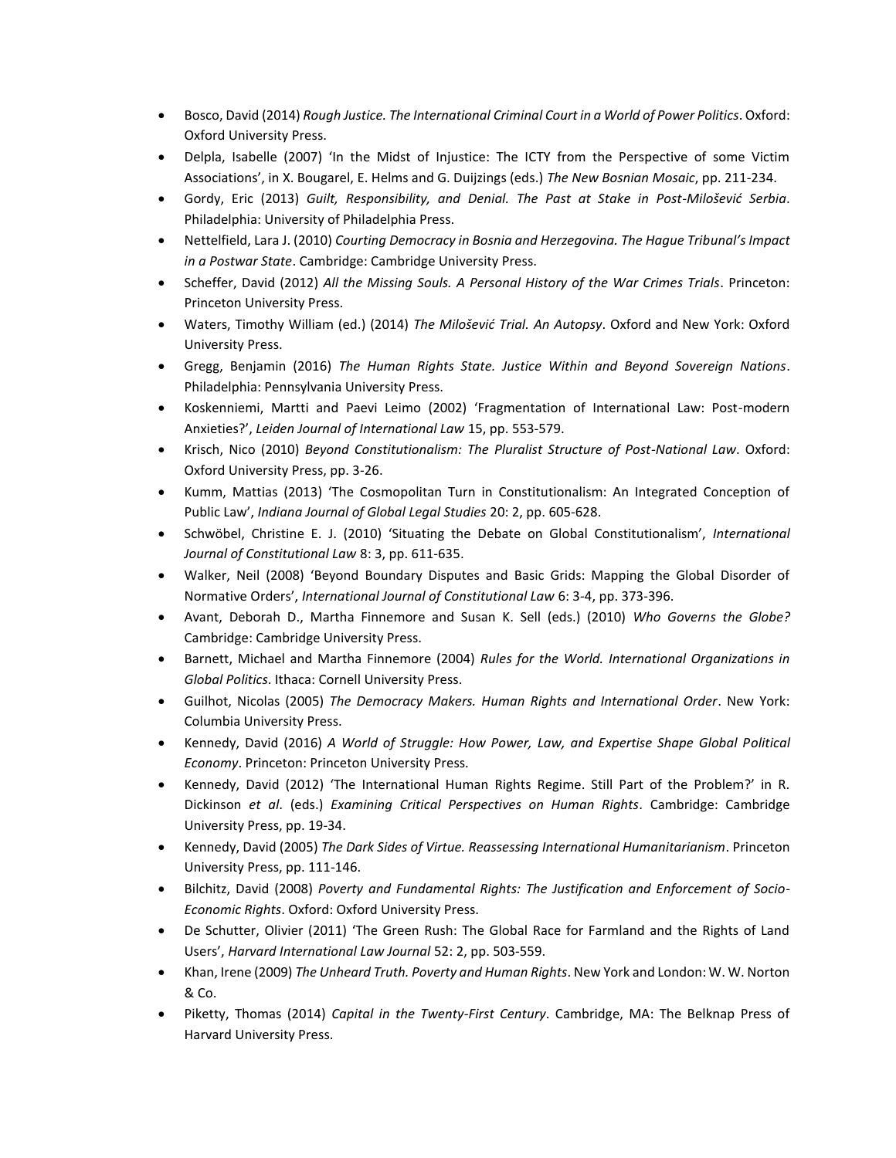- Bosco, David (2014) *Rough Justice. The International Criminal Court in a World of Power Politics*. Oxford: Oxford University Press.
- Delpla, Isabelle (2007) 'In the Midst of Injustice: The ICTY from the Perspective of some Victim Associations', in X. Bougarel, E. Helms and G. Duijzings (eds.) *The New Bosnian Mosaic*, pp. 211-234.
- Gordy, Eric (2013) *Guilt, Responsibility, and Denial. The Past at Stake in Post-Milošević Serbia*. Philadelphia: University of Philadelphia Press.
- Nettelfield, Lara J. (2010) *Courting Democracy in Bosnia and Herzegovina. The Hague Tribunal's Impact in a Postwar State*. Cambridge: Cambridge University Press.
- Scheffer, David (2012) *All the Missing Souls. A Personal History of the War Crimes Trials*. Princeton: Princeton University Press.
- Waters, Timothy William (ed.) (2014) *The Milošević Trial. An Autopsy*. Oxford and New York: Oxford University Press.
- Gregg, Benjamin (2016) *The Human Rights State. Justice Within and Beyond Sovereign Nations*. Philadelphia: Pennsylvania University Press.
- Koskenniemi, Martti and Paevi Leimo (2002) 'Fragmentation of International Law: Post-modern Anxieties?', *Leiden Journal of International Law* 15, pp. 553-579.
- Krisch, Nico (2010) *Beyond Constitutionalism: The Pluralist Structure of Post-National Law*. Oxford: Oxford University Press, pp. 3-26.
- Kumm, Mattias (2013) 'The Cosmopolitan Turn in Constitutionalism: An Integrated Conception of Public Law', *Indiana Journal of Global Legal Studies* 20: 2, pp. 605-628.
- Schwöbel, Christine E. J. (2010) 'Situating the Debate on Global Constitutionalism', *International Journal of Constitutional Law* 8: 3, pp. 611-635.
- Walker, Neil (2008) 'Beyond Boundary Disputes and Basic Grids: Mapping the Global Disorder of Normative Orders', *International Journal of Constitutional Law* 6: 3-4, pp. 373-396.
- Avant, Deborah D., Martha Finnemore and Susan K. Sell (eds.) (2010) *Who Governs the Globe?* Cambridge: Cambridge University Press.
- Barnett, Michael and Martha Finnemore (2004) *Rules for the World. International Organizations in Global Politics*. Ithaca: Cornell University Press.
- Guilhot, Nicolas (2005) *The Democracy Makers. Human Rights and International Order*. New York: Columbia University Press.
- Kennedy, David (2016) *A World of Struggle: How Power, Law, and Expertise Shape Global Political Economy*. Princeton: Princeton University Press.
- Kennedy, David (2012) 'The International Human Rights Regime. Still Part of the Problem?' in R. Dickinson *et al*. (eds.) *Examining Critical Perspectives on Human Rights*. Cambridge: Cambridge University Press, pp. 19-34.
- Kennedy, David (2005) *The Dark Sides of Virtue. Reassessing International Humanitarianism*. Princeton University Press, pp. 111-146.
- Bilchitz, David (2008) *Poverty and Fundamental Rights: The Justification and Enforcement of Socio-Economic Rights*. Oxford: Oxford University Press.
- De Schutter, Olivier (2011) 'The Green Rush: The Global Race for Farmland and the Rights of Land Users', *Harvard International Law Journal* 52: 2, pp. 503-559.
- Khan, Irene (2009) *The Unheard Truth. Poverty and Human Rights*. New York and London: W. W. Norton & Co.
- Piketty, Thomas (2014) *Capital in the Twenty-First Century*. Cambridge, MA: The Belknap Press of Harvard University Press.